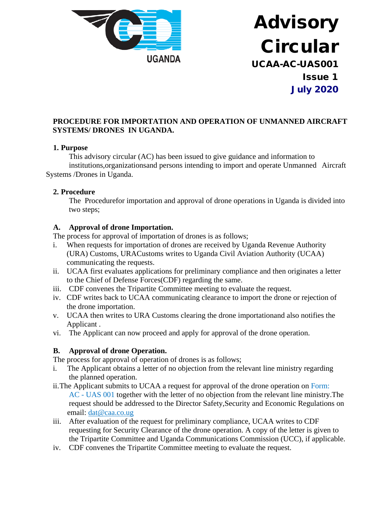

# Advisory Circular UCAA-AC-UAS001 Issue 1 July 2020

### **PROCEDURE FOR IMPORTATION AND OPERATION OF UNMANNED AIRCRAFT SYSTEMS/ DRONES IN UGANDA.**

#### **1. Purpose**

This advisory circular (AC) has been issued to give guidance and information to institutions,organizationsand persons intending to import and operate Unmanned Aircraft Systems /Drones in Uganda.

#### **2. Procedure**

The Procedurefor importation and approval of drone operations in Uganda is divided into two steps;

#### **A. Approval of drone Importation.**

The process for approval of importation of drones is as follows;

- i. When requests for importation of drones are received by Uganda Revenue Authority (URA) Customs, URACustoms writes to Uganda Civil Aviation Authority (UCAA) communicating the requests.
- ii. UCAA first evaluates applications for preliminary compliance and then originates a letter to the Chief of Defense Forces(CDF) regarding the same.
- iii. CDF convenes the Tripartite Committee meeting to evaluate the request.
- iv. CDF writes back to UCAA communicating clearance to import the drone or rejection of the drone importation.
- v. UCAA then writes to URA Customs clearing the drone importationand also notifies the Applicant .
- vi. The Applicant can now proceed and apply for approval of the drone operation.

### **B. Approval of drone Operation.**

The process for approval of operation of drones is as follows;

- i. The Applicant obtains a letter of no objection from the relevant line ministry regarding the planned operation.
- ii.The Applicant submits to UCAA a request for approval of the drone operation on Form: AC - UAS 001 together with the letter of no objection from the relevant line ministry.The request should be addressed to the Director Safety,Security and Economic Regulations on email: [dat@caa.co.ug](mailto:dat@caa.co.ug)
- iii. After evaluation of the request for preliminary compliance, UCAA writes to CDF requesting for Security Clearance of the drone operation. A copy of the letter is given to the Tripartite Committee and Uganda Communications Commission (UCC), if applicable.
- iv. CDF convenes the Tripartite Committee meeting to evaluate the request.